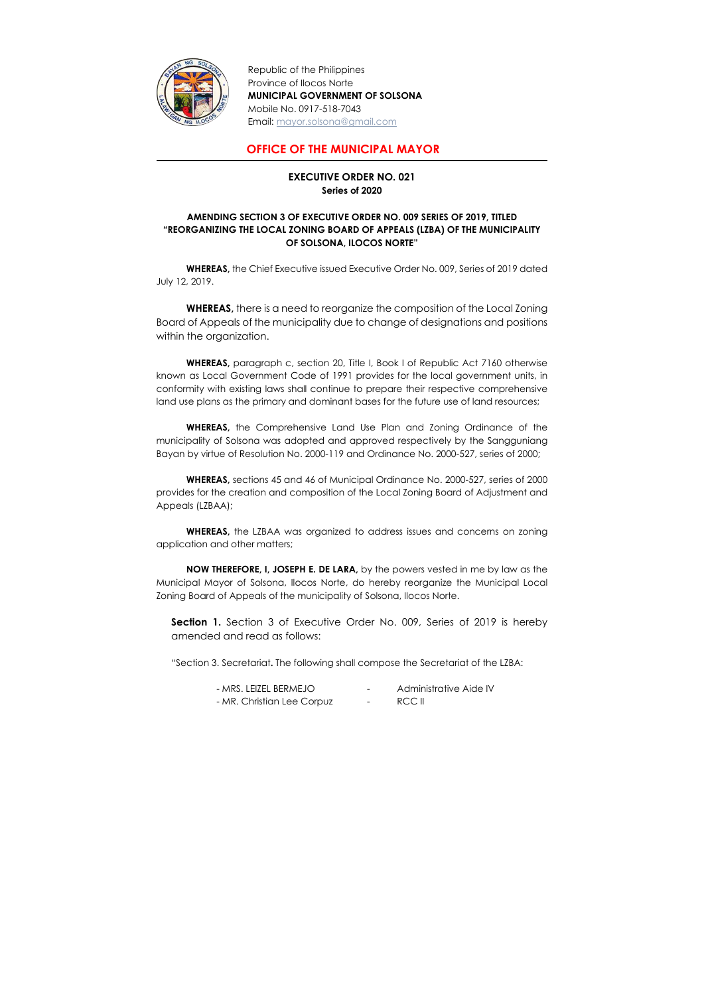

Republic of the Philippines Province of Ilocos Norte MUNICIPAL GOVERNMENT OF SOLSONA Mobile No. 0917-518-7043 Email: mayor.solsona@gmail.com

## OFFICE OF THE MUNICIPAL MAYOR

## EXECUTIVE ORDER NO. 021 Series of 2020

## AMENDING SECTION 3 OF EXECUTIVE ORDER NO. 009 SERIES OF 2019, TITLED "REORGANIZING THE LOCAL ZONING BOARD OF APPEALS (LZBA) OF THE MUNICIPALITY OF SOLSONA, ILOCOS NORTE"

 WHEREAS, the Chief Executive issued Executive Order No. 009, Series of 2019 dated July 12, 2019.

WHEREAS, there is a need to reorganize the composition of the Local Zoning Board of Appeals of the municipality due to change of designations and positions within the organization.

WHEREAS, the LZBAA was organized to address issues and concerns on zoning application and other matters;

WHEREAS, paragraph c, section 20, Title I, Book I of Republic Act 7160 otherwise known as Local Government Code of 1991 provides for the local government units, in conformity with existing laws shall continue to prepare their respective comprehensive land use plans as the primary and dominant bases for the future use of land resources;

**Section 1.** Section 3 of Executive Order No. 009, Series of 2019 is hereby amended and read as follows:

 WHEREAS, the Comprehensive Land Use Plan and Zoning Ordinance of the municipality of Solsona was adopted and approved respectively by the Sangguniang Bayan by virtue of Resolution No. 2000-119 and Ordinance No. 2000-527, series of 2000;

WHEREAS, sections 45 and 46 of Municipal Ordinance No. 2000-527, series of 2000 provides for the creation and composition of the Local Zoning Board of Adjustment and Appeals (LZBAA);

NOW THEREFORE, I, JOSEPH E. DE LARA, by the powers vested in me by law as the Municipal Mayor of Solsona, Ilocos Norte, do hereby reorganize the Municipal Local Zoning Board of Appeals of the municipality of Solsona, Ilocos Norte.

"Section 3. Secretariat. The following shall compose the Secretariat of the LZBA:

| - MRS. LEIZEL BERMEJO      | $\sim$ 100 $\sim$ | Administrative Aide IV |
|----------------------------|-------------------|------------------------|
| - MR. Christian Lee Corpuz | $\sim$ 100 $\mu$  | RCC II                 |